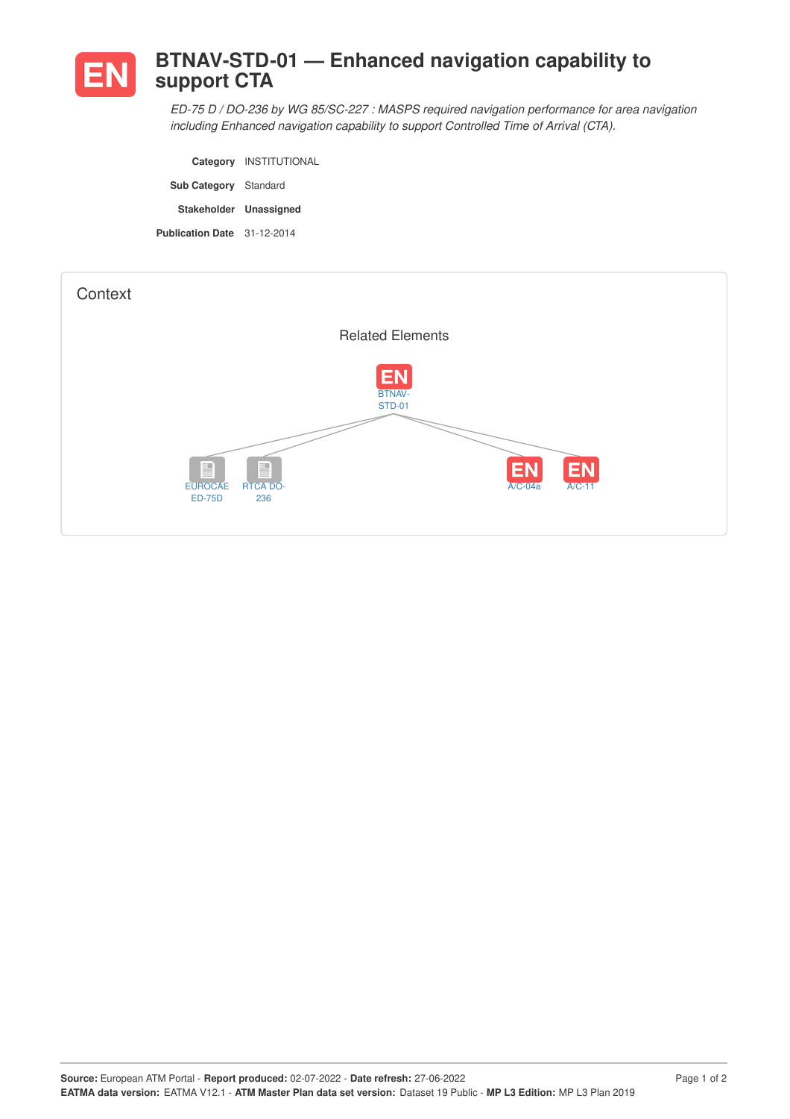

## **BTNAV-STD-01 — Enhanced navigation capability to support CTA**

*ED-75 D / DO-236 by WG 85/SC-227 : MASPS required navigation performance for area navigation including Enhanced navigation capability to support Controlled Time of Arrival (CTA).*

|                              | Category INSTITUTIONAL |
|------------------------------|------------------------|
| <b>Sub Category</b> Standard |                        |
|                              |                        |
| Stakeholder Unassigned       |                        |